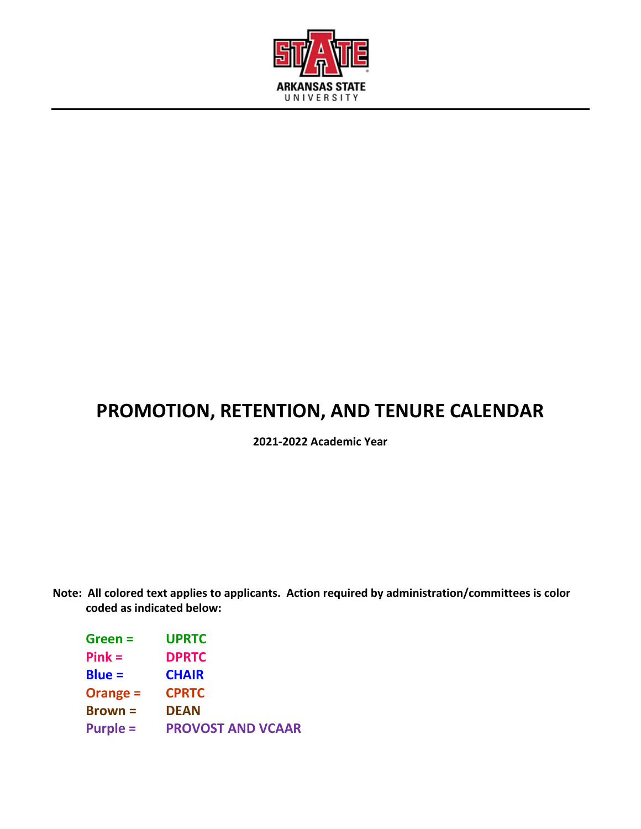

# **PROMOTION, RETENTION, AND TENURE CALENDAR**

**2021-2022 Academic Year**

**Note: All colored text applies to applicants. Action required by administration/committees is color coded as indicated below:**

| <b>UPRTC</b>             |
|--------------------------|
| <b>DPRTC</b>             |
| <b>CHAIR</b>             |
| <b>CPRTC</b>             |
| <b>DEAN</b>              |
| <b>PROVOST AND VCAAR</b> |
|                          |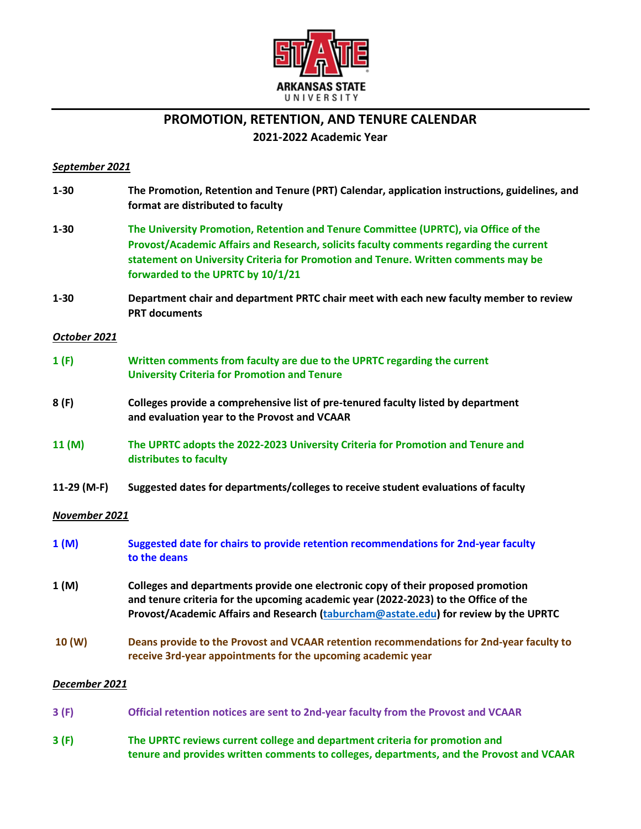

# **PROMOTION, RETENTION, AND TENURE CALENDAR**

# **2021-2022 Academic Year**

## *September 2021*

| $1 - 30$      | The Promotion, Retention and Tenure (PRT) Calendar, application instructions, guidelines, and<br>format are distributed to faculty                                                                                                                                                                       |
|---------------|----------------------------------------------------------------------------------------------------------------------------------------------------------------------------------------------------------------------------------------------------------------------------------------------------------|
| $1 - 30$      | The University Promotion, Retention and Tenure Committee (UPRTC), via Office of the<br>Provost/Academic Affairs and Research, solicits faculty comments regarding the current<br>statement on University Criteria for Promotion and Tenure. Written comments may be<br>forwarded to the UPRTC by 10/1/21 |
| $1 - 30$      | Department chair and department PRTC chair meet with each new faculty member to review<br><b>PRT documents</b>                                                                                                                                                                                           |
| October 2021  |                                                                                                                                                                                                                                                                                                          |
| 1(F)          | Written comments from faculty are due to the UPRTC regarding the current<br><b>University Criteria for Promotion and Tenure</b>                                                                                                                                                                          |
| 8(F)          | Colleges provide a comprehensive list of pre-tenured faculty listed by department<br>and evaluation year to the Provost and VCAAR                                                                                                                                                                        |
| 11(M)         | The UPRTC adopts the 2022-2023 University Criteria for Promotion and Tenure and<br>distributes to faculty                                                                                                                                                                                                |
| 11-29 (M-F)   | Suggested dates for departments/colleges to receive student evaluations of faculty                                                                                                                                                                                                                       |
| November 2021 |                                                                                                                                                                                                                                                                                                          |
| 1(M)          | Suggested date for chairs to provide retention recommendations for 2nd-year faculty<br>to the deans                                                                                                                                                                                                      |
| 1(M)          | Colleges and departments provide one electronic copy of their proposed promotion<br>and tenure criteria for the upcoming academic year (2022-2023) to the Office of the<br>Provost/Academic Affairs and Research (taburcham@astate.edu) for review by the UPRTC                                          |
| 10 (W)        | Deans provide to the Provost and VCAAR retention recommendations for 2nd-year faculty to<br>receive 3rd-year appointments for the upcoming academic year                                                                                                                                                 |
| December 2021 |                                                                                                                                                                                                                                                                                                          |
| 3(F)          | Official retention notices are sent to 2nd-year faculty from the Provost and VCAAR                                                                                                                                                                                                                       |
| 3(F)          | The UPRTC reviews current college and department criteria for promotion and<br>tenure and provides written comments to colleges, departments, and the Provost and VCAAR                                                                                                                                  |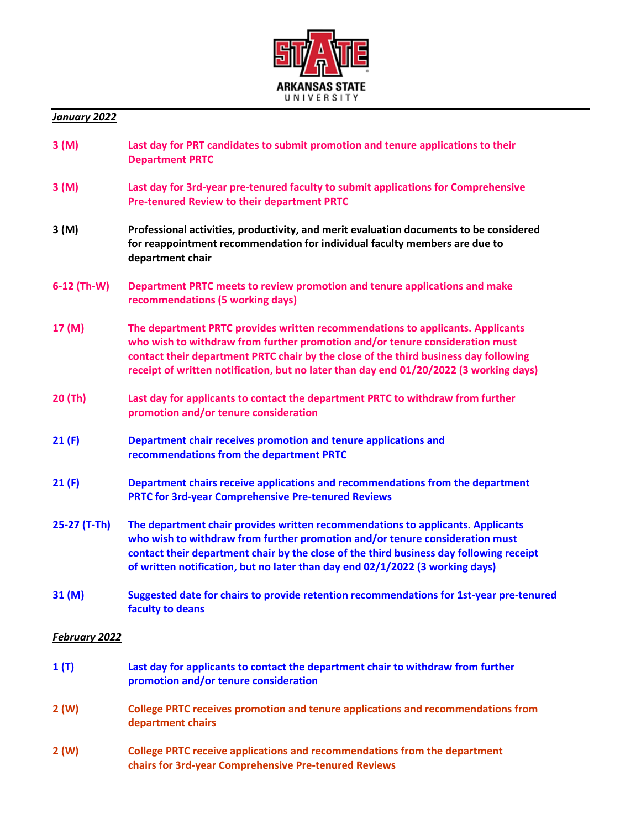

#### *January 2022*

| 3(M) | Last day for PRT candidates to submit promotion and tenure applications to their |
|------|----------------------------------------------------------------------------------|
|      | <b>Department PRTC</b>                                                           |
|      |                                                                                  |

- **3 (M) Last day for 3rd-year pre-tenured faculty to submit applications for Comprehensive Pre-tenured Review to their department PRTC**
- **3 (M) Professional activities, productivity, and merit evaluation documents to be considered for reappointment recommendation for individual faculty members are due to department chair**
- **6-12 (Th-W) Department PRTC meets to review promotion and tenure applications and make recommendations (5 working days)**
- **17 (M) The department PRTC provides written recommendations to applicants. Applicants who wish to withdraw from further promotion and/or tenure consideration must contact their department PRTC chair by the close of the third business day following receipt of written notification, but no later than day end 01/20/2022 (3 working days)**
- **20 (Th) Last day for applicants to contact the department PRTC to withdraw from further promotion and/or tenure consideration**
- **21 (F) Department chair receives promotion and tenure applications and recommendations from the department PRTC**
- **21 (F) Department chairs receive applications and recommendations from the department PRTC for 3rd-year Comprehensive Pre-tenured Reviews**
- **25-27 (T-Th) The department chair provides written recommendations to applicants. Applicants who wish to withdraw from further promotion and/or tenure consideration must contact their department chair by the close of the third business day following receipt of written notification, but no later than day end 02/1/2022 (3 working days)**
- **31 (M) Suggested date for chairs to provide retention recommendations for 1st-year pre-tenured faculty to deans**

#### *February 2022*

| 1(T) | Last day for applicants to contact the department chair to withdraw from further<br>promotion and/or tenure consideration          |
|------|------------------------------------------------------------------------------------------------------------------------------------|
| 2(W) | College PRTC receives promotion and tenure applications and recommendations from<br>department chairs                              |
| 2(W) | College PRTC receive applications and recommendations from the department<br>chairs for 3rd-year Comprehensive Pre-tenured Reviews |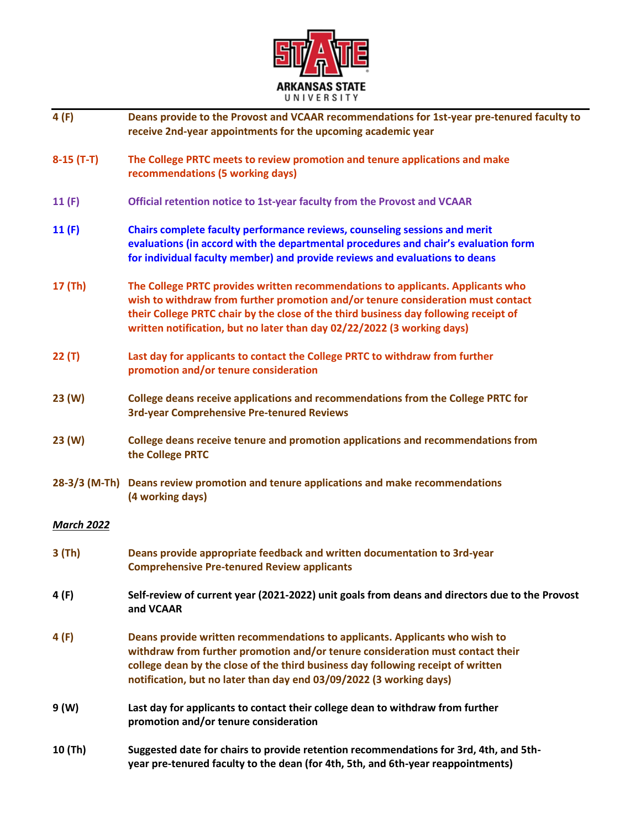

| 4(F)              | Deans provide to the Provost and VCAAR recommendations for 1st-year pre-tenured faculty to<br>receive 2nd-year appointments for the upcoming academic year                                                                                                                                                                             |
|-------------------|----------------------------------------------------------------------------------------------------------------------------------------------------------------------------------------------------------------------------------------------------------------------------------------------------------------------------------------|
| $8-15(T-T)$       | The College PRTC meets to review promotion and tenure applications and make<br>recommendations (5 working days)                                                                                                                                                                                                                        |
| 11(F)             | Official retention notice to 1st-year faculty from the Provost and VCAAR                                                                                                                                                                                                                                                               |
| 11 $(F)$          | Chairs complete faculty performance reviews, counseling sessions and merit<br>evaluations (in accord with the departmental procedures and chair's evaluation form<br>for individual faculty member) and provide reviews and evaluations to deans                                                                                       |
| 17 (Th)           | The College PRTC provides written recommendations to applicants. Applicants who<br>wish to withdraw from further promotion and/or tenure consideration must contact<br>their College PRTC chair by the close of the third business day following receipt of<br>written notification, but no later than day 02/22/2022 (3 working days) |
| 22(T)             | Last day for applicants to contact the College PRTC to withdraw from further<br>promotion and/or tenure consideration                                                                                                                                                                                                                  |
| 23(W)             | College deans receive applications and recommendations from the College PRTC for<br><b>3rd-year Comprehensive Pre-tenured Reviews</b>                                                                                                                                                                                                  |
| 23(W)             | College deans receive tenure and promotion applications and recommendations from<br>the College PRTC                                                                                                                                                                                                                                   |
|                   | 28-3/3 (M-Th) Deans review promotion and tenure applications and make recommendations<br>(4 working days)                                                                                                                                                                                                                              |
| <b>March 2022</b> |                                                                                                                                                                                                                                                                                                                                        |
| $3$ (Th)          | Deans provide appropriate feedback and written documentation to 3rd-year<br><b>Comprehensive Pre-tenured Review applicants</b>                                                                                                                                                                                                         |
| 4 (F)             | Self-review of current year (2021-2022) unit goals from deans and directors due to the Provost<br>and <b>VCAAR</b>                                                                                                                                                                                                                     |
| 4(F)              | Deans provide written recommendations to applicants. Applicants who wish to<br>withdraw from further promotion and/or tenure consideration must contact their<br>college dean by the close of the third business day following receipt of written<br>notification, but no later than day end 03/09/2022 (3 working days)               |
| 9 (W)             | Last day for applicants to contact their college dean to withdraw from further<br>promotion and/or tenure consideration                                                                                                                                                                                                                |
| 10 (Th)           | Suggested date for chairs to provide retention recommendations for 3rd, 4th, and 5th-<br>year pre-tenured faculty to the dean (for 4th, 5th, and 6th-year reappointments)                                                                                                                                                              |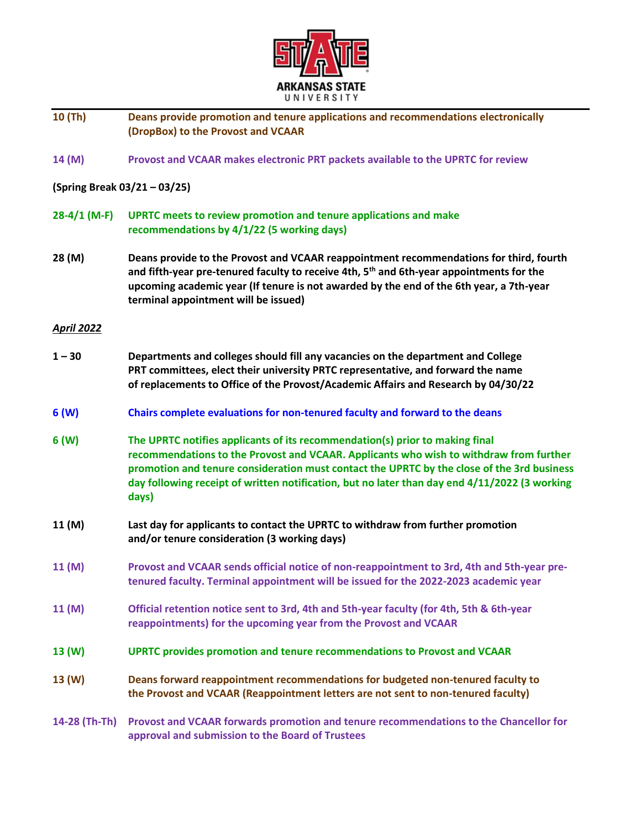

### **10 (Th) Deans provide promotion and tenure applications and recommendations electronically (DropBox) to the Provost and VCAAR**

**14 (M) Provost and VCAAR makes electronic PRT packets available to the UPRTC for review** 

### **(Spring Break 03/21 – 03/25)**

- **28-4/1 (M-F) UPRTC meets to review promotion and tenure applications and make recommendations by 4/1/22 (5 working days)**
- **28 (M) Deans provide to the Provost and VCAAR reappointment recommendations for third, fourth and fifth-year pre-tenured faculty to receive 4th, 5th and 6th-year appointments for the upcoming academic year (If tenure is not awarded by the end of the 6th year, a 7th-year terminal appointment will be issued)**

#### *April 2022*

- **1 – 30 Departments and colleges should fill any vacancies on the department and College PRT committees, elect their university PRTC representative, and forward the name of replacements to Office of the Provost/Academic Affairs and Research by 04/30/22**
- **6 (W) Chairs complete evaluations for non-tenured faculty and forward to the deans**
- **6 (W) The UPRTC notifies applicants of its recommendation(s) prior to making final recommendations to the Provost and VCAAR. Applicants who wish to withdraw from further promotion and tenure consideration must contact the UPRTC by the close of the 3rd business day following receipt of written notification, but no later than day end 4/11/2022 (3 working days)**
- **11 (M) Last day for applicants to contact the UPRTC to withdraw from further promotion and/or tenure consideration (3 working days)**
- **11 (M) Provost and VCAAR sends official notice of non-reappointment to 3rd, 4th and 5th-year pretenured faculty. Terminal appointment will be issued for the 2022-2023 academic year**
- **11 (M) Official retention notice sent to 3rd, 4th and 5th-year faculty (for 4th, 5th & 6th-year reappointments) for the upcoming year from the Provost and VCAAR**
- **13 (W) UPRTC provides promotion and tenure recommendations to Provost and VCAAR**
- **13 (W) Deans forward reappointment recommendations for budgeted non-tenured faculty to the Provost and VCAAR (Reappointment letters are not sent to non-tenured faculty)**

**14-28 (Th-Th) Provost and VCAAR forwards promotion and tenure recommendations to the Chancellor for approval and submission to the Board of Trustees**